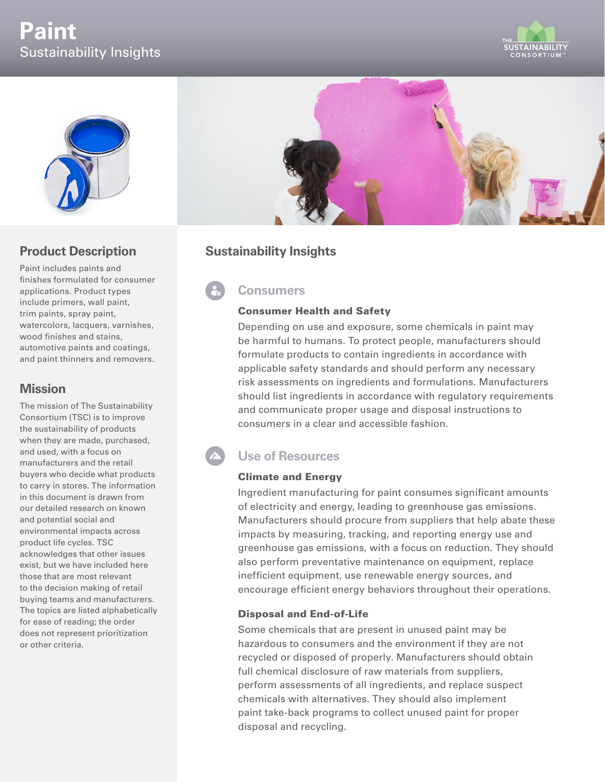# **Paint** Sustainability Insights





## **Product Description**

Paint includes paints and finishes formulated for consumer applications. Product types include primers, wall paint, trim paints, spray paint, watercolors, lacquers, varnishes, wood finishes and stains, automotive paints and coatings, and paint thinners and removers.

## **Mission**

The mission of The Sustainability Consortium (TSC) is to improve the sustainability of products when they are made, purchased, and used, with a focus on manufacturers and the retail buyers who decide what products to carry in stores. The information in this document is drawn from our detailed research on known and potential social and environmental impacts across product life cycles. TSC acknowledges that other issues exist, but we have included here those that are most relevant to the decision making of retail buying teams and manufacturers. The topics are listed alphabetically for ease of reading; the order does not represent prioritization or other criteria.



## **Sustainability Insights**

## **Consumers**

#### Consumer Health and Safety

Depending on use and exposure, some chemicals in paint may be harmful to humans. To protect people, manufacturers should formulate products to contain ingredients in accordance with applicable safety standards and should perform any necessary risk assessments on ingredients and formulations. Manufacturers should list ingredients in accordance with regulatory requirements and communicate proper usage and disposal instructions to consumers in a clear and accessible fashion.

# **Use of Resources**

#### Climate and Energy

Ingredient manufacturing for paint consumes significant amounts of electricity and energy, leading to greenhouse gas emissions. Manufacturers should procure from suppliers that help abate these impacts by measuring, tracking, and reporting energy use and greenhouse gas emissions, with a focus on reduction. They should also perform preventative maintenance on equipment, replace inefficient equipment, use renewable energy sources, and encourage efficient energy behaviors throughout their operations.

#### Disposal and End-of-Life

Some chemicals that are present in unused paint may be hazardous to consumers and the environment if they are not recycled or disposed of properly. Manufacturers should obtain full chemical disclosure of raw materials from suppliers, perform assessments of all ingredients, and replace suspect chemicals with alternatives. They should also implement paint take-back programs to collect unused paint for proper disposal and recycling.